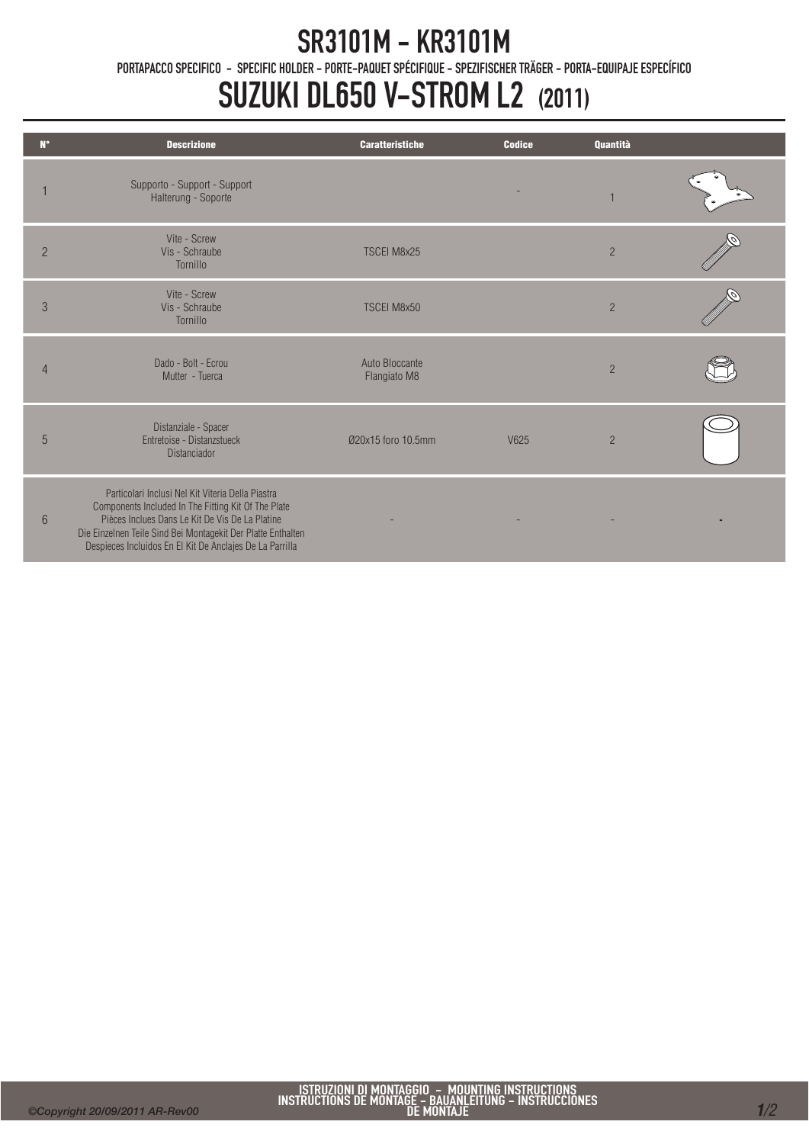## SR3101M - KR3101M

PORTAPACCO SPECIFICO - SPECIFIC HOLDER - PORTE-PAQUET SPÉCIFIQUE - SPEZIFISCHER TRÄGER - PORTA-EQUIPAJE ESPECÍFICO

## SUZUKI DL650 V-STROM L2 (2011)

| $N^{\circ}$    | <b>Descrizione</b>                                                                                                                                                                                                                                                                      | <b>Caratteristiche</b>         | <b>Codice</b> | Quantità       |  |
|----------------|-----------------------------------------------------------------------------------------------------------------------------------------------------------------------------------------------------------------------------------------------------------------------------------------|--------------------------------|---------------|----------------|--|
|                | Supporto - Support - Support<br>Halterung - Soporte                                                                                                                                                                                                                                     |                                |               |                |  |
| $\overline{2}$ | Vite - Screw<br>Vis - Schraube<br>Tornillo                                                                                                                                                                                                                                              | <b>TSCEI M8x25</b>             |               | $\overline{2}$ |  |
| 3              | Vite - Screw<br>Vis - Schraube<br>Tornillo                                                                                                                                                                                                                                              | <b>TSCEI M8x50</b>             |               | $\overline{2}$ |  |
| $\overline{4}$ | Dado - Bolt - Ecrou<br>Mutter - Tuerca                                                                                                                                                                                                                                                  | Auto Bloccante<br>Flangiato M8 |               | $\overline{2}$ |  |
| 5              | Distanziale - Spacer<br>Entretoise - Distanzstueck<br><b>Distanciador</b>                                                                                                                                                                                                               | 020x15 foro 10.5mm             | V625          | $\overline{2}$ |  |
| $6\phantom{1}$ | Particolari Inclusi Nel Kit Viteria Della Piastra<br>Components Included In The Fitting Kit Of The Plate<br>Pièces Inclues Dans Le Kit De Vis De La Platine<br>Die Einzelnen Teile Sind Bei Montagekit Der Platte Enthalten<br>Despieces Incluidos En El Kit De Anclajes De La Parrilla |                                |               |                |  |

Ī